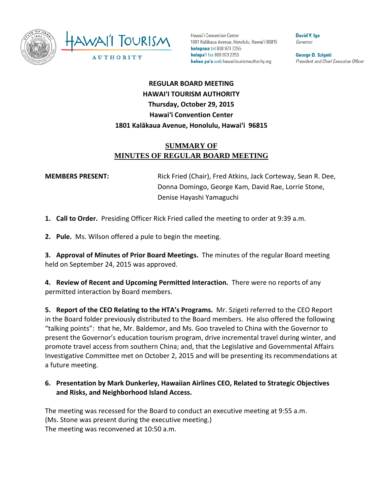

Hawai'i Convention Center 1801 Kalākaua Avenue, Honolulu, Hawai'i 96815 kelepona tel 808 973 2255 kelepa'i fax 808 973 2253 kahua pa'a web hawaiitourismauthority.org

**David Y. Ige** Governor

George D. Szigeti President and Chief Executive Officer

# **REGULAR BOARD MEETING HAWAI'I TOURISM AUTHORITY Thursday, October 29, 2015 Hawai'i Convention Center 1801 Kalākaua Avenue, Honolulu, Hawai'i 96815**

# **SUMMARY OF MINUTES OF REGULAR BOARD MEETING**

**MEMBERS PRESENT:** Rick Fried (Chair), Fred Atkins, Jack Corteway, Sean R. Dee, Donna Domingo, George Kam, David Rae, Lorrie Stone, Denise Hayashi Yamaguchi

**1. Call to Order.** Presiding Officer Rick Fried called the meeting to order at 9:39 a.m.

**2. Pule.** Ms. Wilson offered a pule to begin the meeting.

**3. Approval of Minutes of Prior Board Meetings.** The minutes of the regular Board meeting held on September 24, 2015 was approved.

**4. Review of Recent and Upcoming Permitted Interaction.** There were no reports of any permitted interaction by Board members.

**5. Report of the CEO Relating to the HTA's Programs.** Mr. Szigeti referred to the CEO Report in the Board folder previously distributed to the Board members. He also offered the following "talking points": that he, Mr. Baldemor, and Ms. Goo traveled to China with the Governor to present the Governor's education tourism program, drive incremental travel during winter, and promote travel access from southern China; and, that the Legislative and Governmental Affairs Investigative Committee met on October 2, 2015 and will be presenting its recommendations at a future meeting.

#### **6. Presentation by Mark Dunkerley, Hawaiian Airlines CEO, Related to Strategic Objectives and Risks, and Neighborhood Island Access.**

The meeting was recessed for the Board to conduct an executive meeting at 9:55 a.m. (Ms. Stone was present during the executive meeting.) The meeting was reconvened at 10:50 a.m.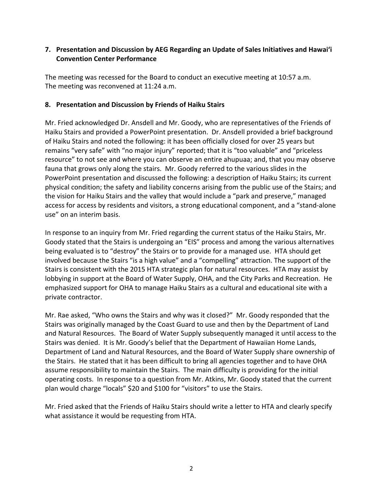## **7. Presentation and Discussion by AEG Regarding an Update of Sales Initiatives and Hawai'i Convention Center Performance**

The meeting was recessed for the Board to conduct an executive meeting at 10:57 a.m. The meeting was reconvened at 11:24 a.m.

## **8. Presentation and Discussion by Friends of Haiku Stairs**

Mr. Fried acknowledged Dr. Ansdell and Mr. Goody, who are representatives of the Friends of Haiku Stairs and provided a PowerPoint presentation. Dr. Ansdell provided a brief background of Haiku Stairs and noted the following: it has been officially closed for over 25 years but remains "very safe" with "no major injury" reported; that it is "too valuable" and "priceless resource" to not see and where you can observe an entire ahupuaa; and, that you may observe fauna that grows only along the stairs. Mr. Goody referred to the various slides in the PowerPoint presentation and discussed the following: a description of Haiku Stairs; its current physical condition; the safety and liability concerns arising from the public use of the Stairs; and the vision for Haiku Stairs and the valley that would include a "park and preserve," managed access for access by residents and visitors, a strong educational component, and a "stand-alone use" on an interim basis.

In response to an inquiry from Mr. Fried regarding the current status of the Haiku Stairs, Mr. Goody stated that the Stairs is undergoing an "EIS" process and among the various alternatives being evaluated is to "destroy" the Stairs or to provide for a managed use. HTA should get involved because the Stairs "is a high value" and a "compelling" attraction. The support of the Stairs is consistent with the 2015 HTA strategic plan for natural resources. HTA may assist by lobbying in support at the Board of Water Supply, OHA, and the City Parks and Recreation. He emphasized support for OHA to manage Haiku Stairs as a cultural and educational site with a private contractor.

Mr. Rae asked, "Who owns the Stairs and why was it closed?" Mr. Goody responded that the Stairs was originally managed by the Coast Guard to use and then by the Department of Land and Natural Resources. The Board of Water Supply subsequently managed it until access to the Stairs was denied. It is Mr. Goody's belief that the Department of Hawaiian Home Lands, Department of Land and Natural Resources, and the Board of Water Supply share ownership of the Stairs. He stated that it has been difficult to bring all agencies together and to have OHA assume responsibility to maintain the Stairs. The main difficulty is providing for the initial operating costs. In response to a question from Mr. Atkins, Mr. Goody stated that the current plan would charge "locals" \$20 and \$100 for "visitors" to use the Stairs.

Mr. Fried asked that the Friends of Haiku Stairs should write a letter to HTA and clearly specify what assistance it would be requesting from HTA.